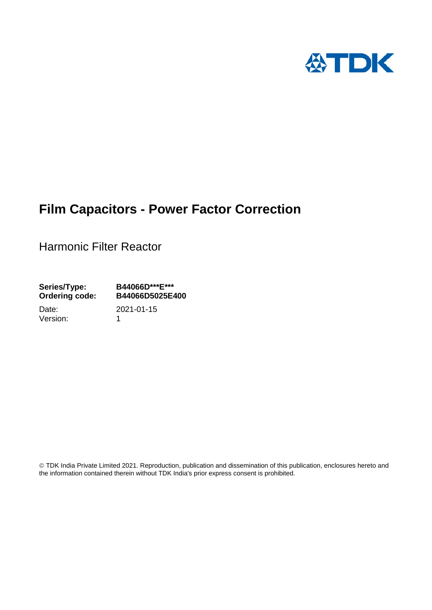

# **Film Capacitors - Power Factor Correction**

Harmonic Filter Reactor

**Series/Type: B44066D\*\*\*E\*\*\* Ordering code: B44066D5025E400**

Version: 1

Date: 2021-01-15

 TDK India Private Limited 2021. Reproduction, publication and dissemination of this publication, enclosures hereto and the information contained therein without TDK India's prior express consent is prohibited.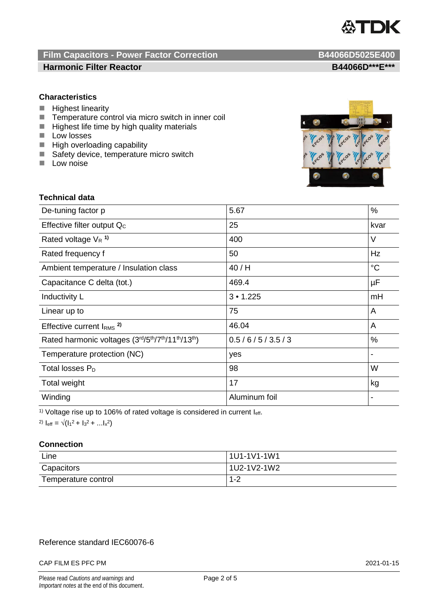

## **Film Capacitors - Power Factor Correction B44066D5025E400 Harmonic Filter Reactor B44066D\*\*\*E\*\*\***

## **Characteristics**

- **Highest linearity**
- $\blacksquare$  Temperature control via micro switch in inner coil<br> $\blacksquare$  Highest life time by high quality materials
- Highest life time by high quality materials
- **Low losses**
- **High overloading capability**
- Safety device, temperature micro switch
- $\blacksquare$  Low noise



## **Technical data**

| De-tuning factor p                              | 5.67          | %           |
|-------------------------------------------------|---------------|-------------|
| Effective filter output Q <sub>c</sub>          | 25            | kvar        |
| Rated voltage $V_R$ <sup>1)</sup>               | 400           | V           |
| Rated frequency f                               | 50            | Hz          |
| Ambient temperature / Insulation class          | 40/H          | $^{\circ}C$ |
| Capacitance C delta (tot.)                      | 469.4         | μF          |
| Inductivity L                                   | 3 • 1.225     | mH          |
| Linear up to                                    | 75            | A           |
| Effective current $IRMS$ <sup>2)</sup>          | 46.04         | A           |
| Rated harmonic voltages (3rd/5th/7th/11th/13th) | 0.5/6/5/3.5/3 | %           |
| Temperature protection (NC)                     | yes           |             |
| Total losses $P_D$                              | 98            | W           |
| Total weight                                    | 17            | kg          |
| Winding                                         | Aluminum foil |             |

<sup>1)</sup> Voltage rise up to 106% of rated voltage is considered in current  $I_{\text{eff}}$ .

2)  $I_{\text{eff}} = \sqrt{(I_1^2 + I_3^2 + ... I_x^2)}$ 

## **Connection**

| Line                | 1U1-1V1-1W1 |
|---------------------|-------------|
| Capacitors          | 1U2-1V2-1W2 |
| Temperature control | $1 - 2$     |

## Reference standard IEC60076-6

### CAP FILM ES PFC PM 2021-01-15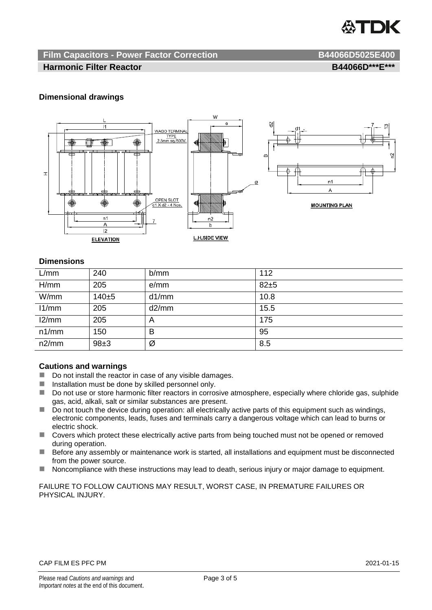

## **Film Capacitors - Power Factor Correction B44066D5025E400**

## **Harmonic Filter Reactor B44066D\*\*\*E\*\*\***

## **Dimensional drawings**



## **Dimensions**

| L/mm  | 240   | b/mm           | 112  |
|-------|-------|----------------|------|
| H/mm  | 205   | e/mm           | 82±5 |
| W/mm  | 140±5 | d1/mm          | 10.8 |
| 11/mm | 205   | d2/mm          | 15.5 |
| 12/mm | 205   | $\overline{A}$ | 175  |
| n1/mm | 150   | B              | 95   |
| n2/mm | 98±3  | Ø              | 8.5  |

## **Cautions and warnings**

- Do not install the reactor in case of any visible damages.
- $\blacksquare$  Installation must be done by skilled personnel only.
- Do not use or store harmonic filter reactors in corrosive atmosphere, especially where chloride gas, sulphide gas, acid, alkali, salt or similar substances are present.
- $\Box$  Do not touch the device during operation: all electrically active parts of this equipment such as windings, electronic components, leads, fuses and terminals carry a dangerous voltage which can lead to burns or electric shock.
- Covers which protect these electrically active parts from being touched must not be opened or removed during operation.
- Before any assembly or maintenance work is started, all installations and equipment must be disconnected from the power source.
- Noncompliance with these instructions may lead to death, serious injury or major damage to equipment.

FAILURE TO FOLLOW CAUTIONS MAY RESULT, WORST CASE, IN PREMATURE FAILURES OR PHYSICAL INJURY.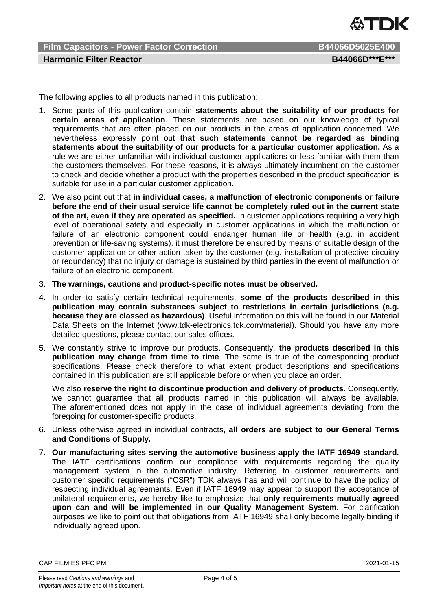

**Film Capacitors - Power Factor Correction B44066D5025E400 Harmonic Filter Reactor B44066D\*\*\*E\*\*\***

The following applies to all products named in this publication:

- 1. Some parts of this publication contain **statements about the suitability of our products for certain areas of application**. These statements are based on our knowledge of typical requirements that are often placed on our products in the areas of application concerned. We nevertheless expressly point out **that such statements cannot be regarded as binding statements about the suitability of our products for a particular customer application.** As a rule we are either unfamiliar with individual customer applications or less familiar with them than the customers themselves. For these reasons, it is always ultimately incumbent on the customer to check and decide whether a product with the properties described in the product specification is suitable for use in a particular customer application.
- 2. We also point out that **in individual cases, a malfunction of electronic components or failure before the end of their usual service life cannot be completely ruled out in the current state of the art, even if they are operated as specified.** In customer applications requiring a very high level of operational safety and especially in customer applications in which the malfunction or failure of an electronic component could endanger human life or health (e.g. in accident prevention or life-saving systems), it must therefore be ensured by means of suitable design of the customer application or other action taken by the customer (e.g. installation of protective circuitry or redundancy) that no injury or damage is sustained by third parties in the event of malfunction or failure of an electronic component.
- 3. **The warnings, cautions and product-specific notes must be observed.**
- 4. In order to satisfy certain technical requirements, **some of the products described in this publication may contain substances subject to restrictions in certain jurisdictions (e.g. because they are classed as hazardous)**. Useful information on this will be found in our Material Data Sheets on the Internet (www.tdk-electronics.tdk.com/material). Should you have any more detailed questions, please contact our sales offices.
- 5. We constantly strive to improve our products. Consequently, **the products described in this publication may change from time to time**. The same is true of the corresponding product specifications. Please check therefore to what extent product descriptions and specifications contained in this publication are still applicable before or when you place an order.

We also **reserve the right to discontinue production and delivery of products**. Consequently, we cannot guarantee that all products named in this publication will always be available. The aforementioned does not apply in the case of individual agreements deviating from the foregoing for customer-specific products.

- 6. Unless otherwise agreed in individual contracts, **all orders are subject to our General Terms and Conditions of Supply.**
- 7. **Our manufacturing sites serving the automotive business apply the IATF 16949 standard.** The IATF certifications confirm our compliance with requirements regarding the quality management system in the automotive industry. Referring to customer requirements and customer specific requirements ("CSR") TDK always has and will continue to have the policy of respecting individual agreements. Even if IATF 16949 may appear to support the acceptance of unilateral requirements, we hereby like to emphasize that **only requirements mutually agreed upon can and will be implemented in our Quality Management System.** For clarification purposes we like to point out that obligations from IATF 16949 shall only become legally binding if individually agreed upon.

CAP FILM ES PFC PM 2021-01-15